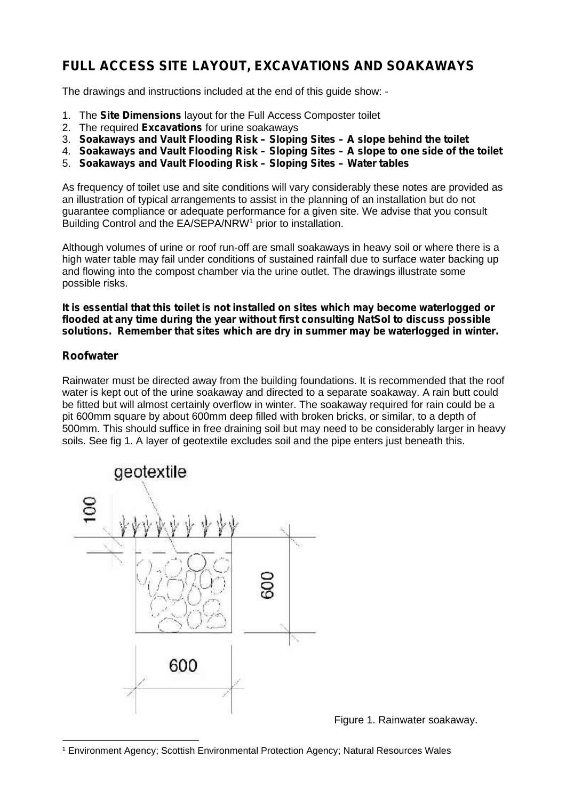## **FULL ACCESS SITE LAYOUT, EXCAVATIONS AND SOAKAWAYS**

The drawings and instructions included at the end of this guide show: -

- 1. The **Site Dimensions** layout for the Full Access Composter toilet
- 2. The required **Excavations** for urine soakaways
- 3. **Soakaways and Vault Flooding Risk – Sloping Sites – A slope behind the toilet**
- 4. **Soakaways and Vault Flooding Risk – Sloping Sites – A slope to one side of the toilet**
- 5. **Soakaways and Vault Flooding Risk – Sloping Sites – Water tables**

As frequency of toilet use and site conditions will vary considerably these notes are provided as an illustration of typical arrangements to assist in the planning of an installation but do not guarantee compliance or adequate performance for a given site. We advise that you consult Building Control and the EA/SEPA/NRW<sup>1</sup> prior to installation.

Although volumes of urine or roof run-off are small soakaways in heavy soil or where there is a high water table may fail under conditions of sustained rainfall due to surface water backing up and flowing into the compost chamber via the urine outlet. The drawings illustrate some possible risks.

**It is essential that this toilet is not installed on sites which may become waterlogged or flooded at any time during the year without first consulting NatSol to discuss possible solutions. Remember that sites which are dry in summer may be waterlogged in winter.**

#### **Roofwater**

Rainwater must be directed away from the building foundations. It is recommended that the roof water is kept out of the urine soakaway and directed to a separate soakaway. A rain butt could be fitted but will almost certainly overflow in winter. The soakaway required for rain could be a pit 600mm square by about 600mm deep filled with broken bricks, or similar, to a depth of 500mm. This should suffice in free draining soil but may need to be considerably larger in heavy soils. See fig 1. A layer of geotextile excludes soil and the pipe enters just beneath this.



Figure 1. Rainwater soakaway.

<sup>1</sup> Environment Agency; Scottish Environmental Protection Agency; Natural Resources Wales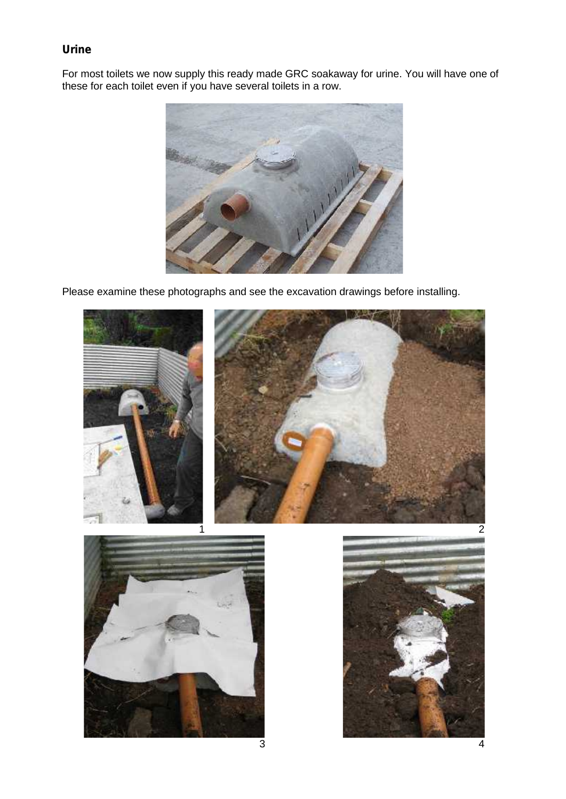### **Urine**

For most toilets we now supply this ready made GRC soakaway for urine. You will have one of these for each toilet even if you have several toilets in a row.



Please examine these photographs and see the excavation drawings before installing.

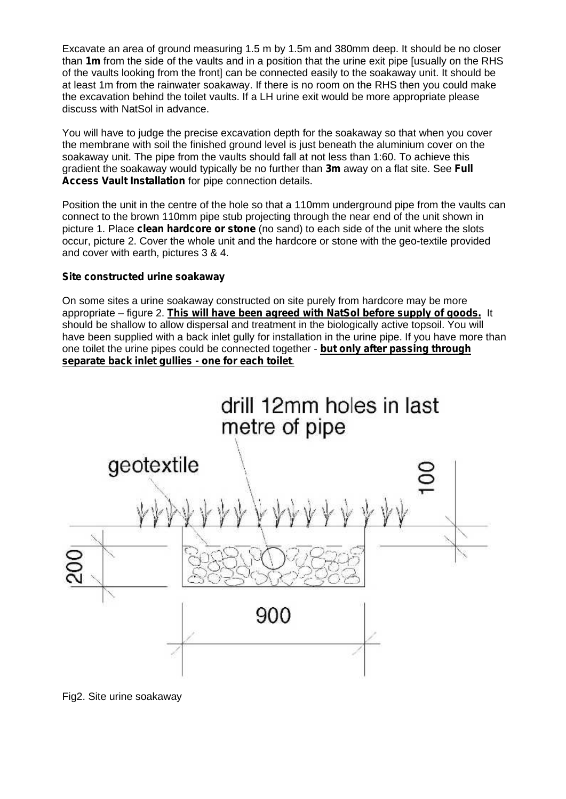Excavate an area of ground measuring 1.5 m by 1.5m and 380mm deep. It should be no closer than **1m** from the side of the vaults and in a position that the urine exit pipe [usually on the RHS of the vaults looking from the front] can be connected easily to the soakaway unit. It should be at least 1m from the rainwater soakaway. If there is no room on the RHS then you could make the excavation behind the toilet vaults. If a LH urine exit would be more appropriate please discuss with NatSol in advance.

You will have to judge the precise excavation depth for the soakaway so that when you cover the membrane with soil the finished ground level is just beneath the aluminium cover on the soakaway unit. The pipe from the vaults should fall at not less than 1:60. To achieve this gradient the soakaway would typically be no further than **3m** away on a flat site. See **Full Access Vault Installation** for pipe connection details.

Position the unit in the centre of the hole so that a 110mm underground pipe from the vaults can connect to the brown 110mm pipe stub projecting through the near end of the unit shown in picture 1. Place **clean hardcore or stone** (no sand) to each side of the unit where the slots occur, picture 2. Cover the whole unit and the hardcore or stone with the geo-textile provided and cover with earth, pictures 3 & 4.

#### **Site constructed urine soakaway**

On some sites a urine soakaway constructed on site purely from hardcore may be more appropriate – figure 2. **This will have been agreed with NatSol before supply of goods.** It should be shallow to allow dispersal and treatment in the biologically active topsoil. You will have been supplied with a back inlet gully for installation in the urine pipe. If you have more than one toilet the urine pipes could be connected together - **but only after passing through separate back inlet gullies - one for each toilet**.



Fig2. Site urine soakaway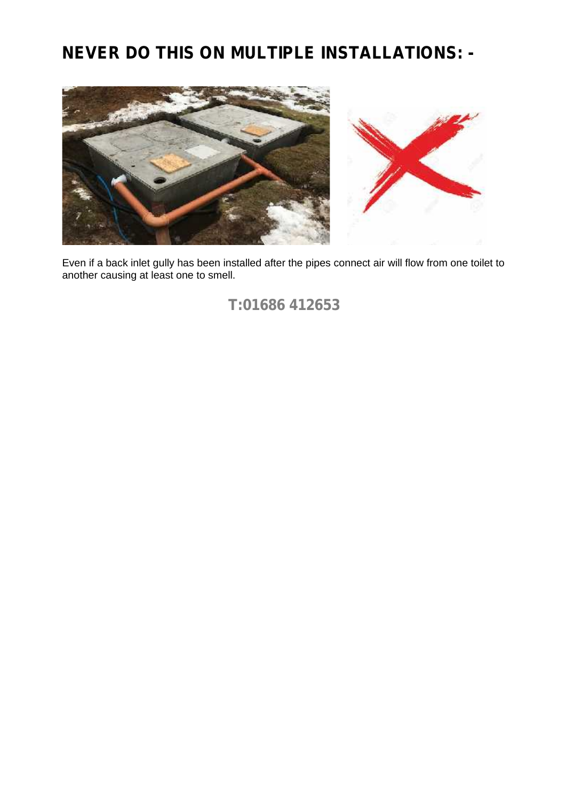## **NEVER DO THIS ON MULTIPLE INSTALLATIONS: -**



Even if a back inlet gully has been installed after the pipes connect air will flow from one toilet to another causing at least one to smell.

## **T:01686 412653**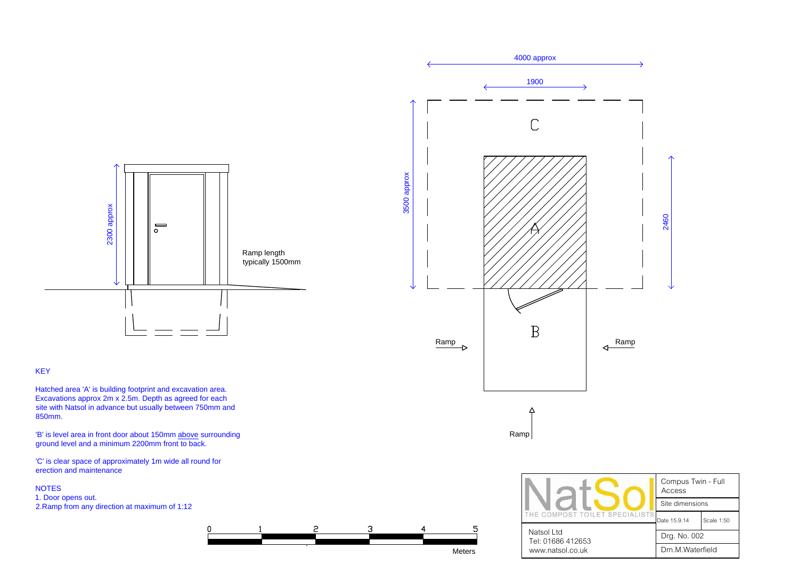



Hatched area 'A' is building footprint and excavation area. KEY<br>Hatched area 'A' is building footprint and excavation area.<br>Excavations approx 2m x 2.5m. Depth as agreed for each Hatched area 'A' is building footprint and excavation area.<br>Excavations approx 2m x 2.5m. Depth as agreed for each<br>site with Natsol in advance but usually between 750mm and<br>850mm. site with Natsol in advance but usually between 750mm and<br>850mm.<br>'B' is level area in front door about 150mm above surrounding

'B' is level area in front door about 150mm above supported and a minimum 2200mm front to back.

'C' is clear space of approximately 1m wide all round for erection and maintenance 'C' is cle<br>erection<br>NOTES

NOTES<br>1. Door opens out. 2.Ramp from any direction at maximum of 1:12





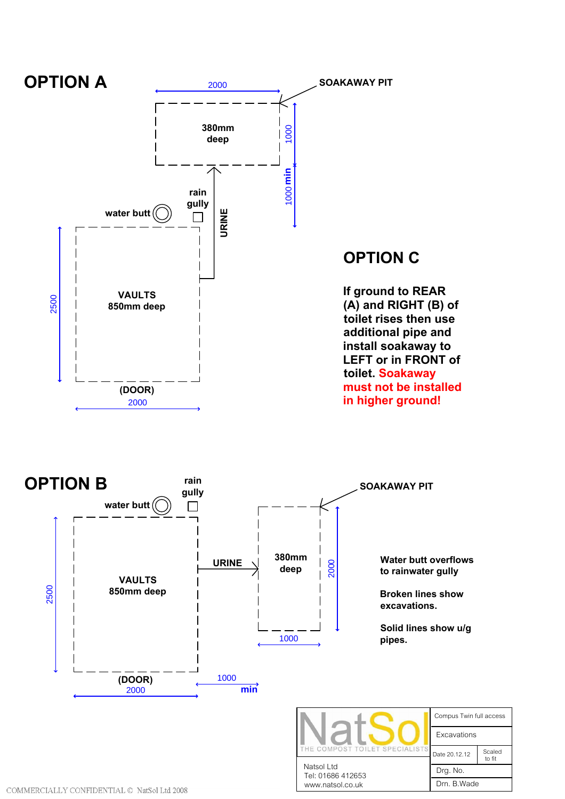

to fit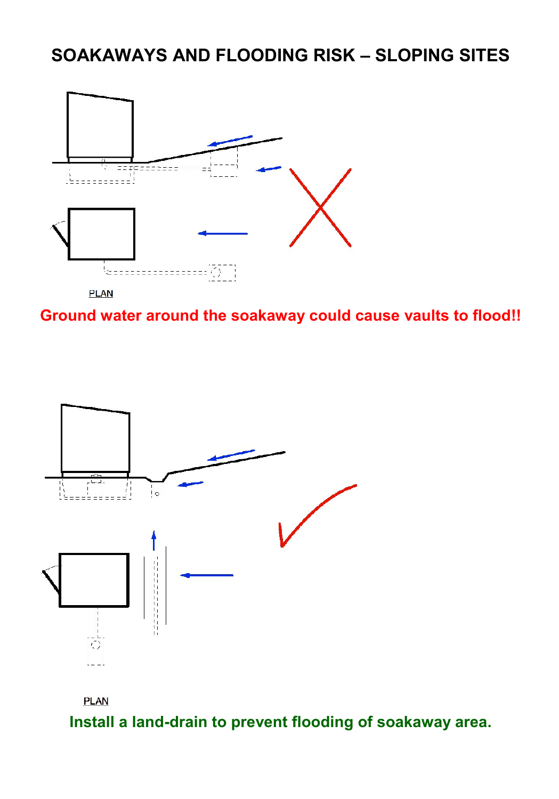## **SOAKAWAYS AND FLOODING RISK – SLOPING SITES**



**Ground water around the soakaway could cause vaults to flood!!**





**Install a land-drain to prevent flooding of soakaway area.**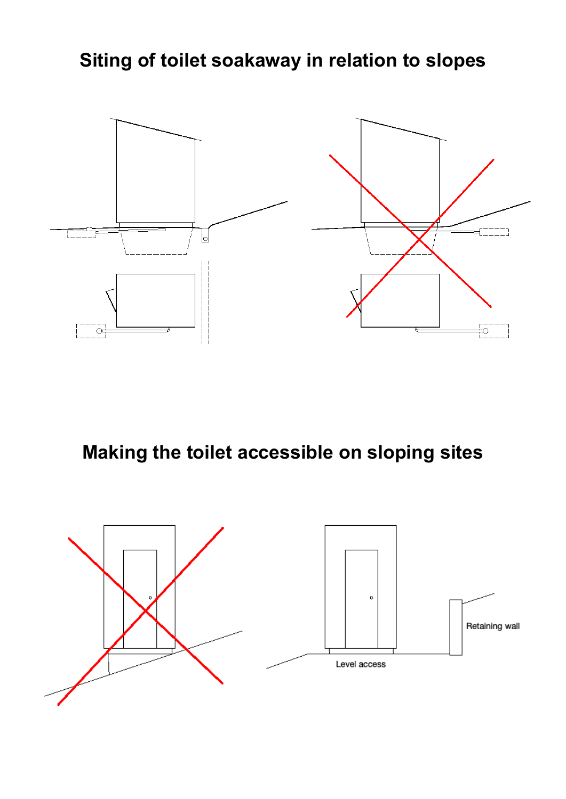# **Siting of toilet soakaway in relation to slopes**



**Making the toilet accessible on sloping sites**